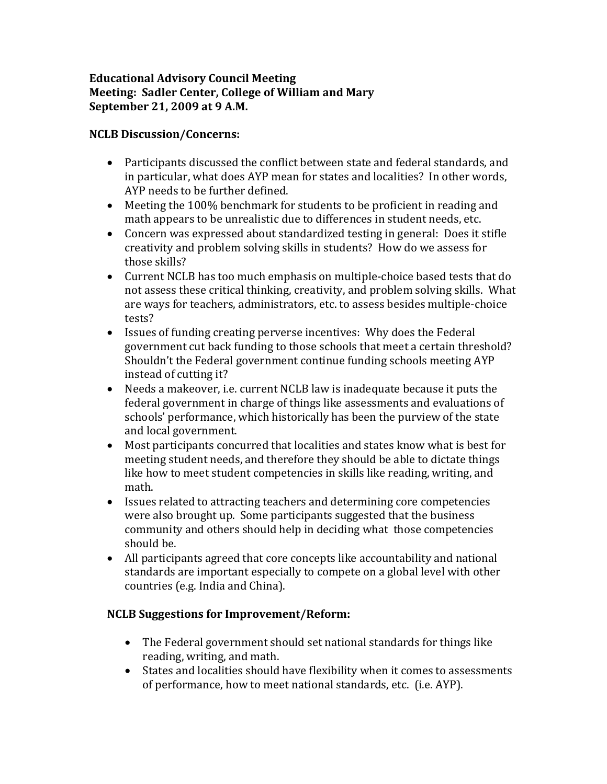## **Educational Advisory Council Meeting Meeting: Sadler Center, College of William and Mary September 21, 2009 at 9 A.M.**

## **NCLB Discussion/Concerns:**

- Participants discussed the conflict between state and federal standards, and in particular, what does AYP mean for states and localities? In other words, AYP needs to be further defined.
- Meeting the 100% benchmark for students to be proficient in reading and math appears to be unrealistic due to differences in student needs, etc.
- Concern was expressed about standardized testing in general: Does it stifle creativity and problem solving skills in students? How do we assess for those skills?
- Current NCLB has too much emphasis on multiple-choice based tests that do not assess these critical thinking, creativity, and problem solving skills. What are ways for teachers, administrators, etc. to assess besides multiple-choice tests?
- Issues of funding creating perverse incentives: Why does the Federal government cut back funding to those schools that meet a certain threshold? Shouldn't the Federal government continue funding schools meeting AYP instead of cutting it?
- Needs a makeover, i.e. current NCLB law is inadequate because it puts the federal government in charge of things like assessments and evaluations of schools' performance, which historically has been the purview of the state and local government.
- Most participants concurred that localities and states know what is best for meeting student needs, and therefore they should be able to dictate things like how to meet student competencies in skills like reading, writing, and math.
- Issues related to attracting teachers and determining core competencies were also brought up. Some participants suggested that the business community and others should help in deciding what those competencies should be.
- All participants agreed that core concepts like accountability and national standards are important especially to compete on a global level with other countries (e.g. India and China).

## **NCLB Suggestions for Improvement/Reform:**

- The Federal government should set national standards for things like reading, writing, and math.
- States and localities should have flexibility when it comes to assessments of performance, how to meet national standards, etc. (i.e. AYP).